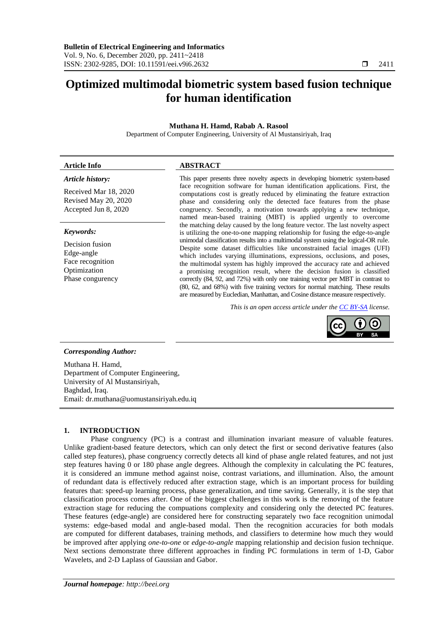# **Optimized multimodal biometric system based fusion technique for human identification**

# **Muthana H. Hamd, Rabab A. Rasool**

Department of Computer Engineering, University of Al Mustansiriyah, Iraq

# *Article history:*

Received Mar 18, 2020 Revised May 20, 2020 Accepted Jun 8, 2020

### *Keywords:*

Decision fusion Edge-angle Face recognition Optimization Phase congurency

# **Article Info ABSTRACT**

This paper presents three novelty aspects in developing biometric system-based face recognition software for human identification applications. First, the computations cost is greatly reduced by eliminating the feature extraction phase and considering only the detected face features from the phase congruency. Secondly, a motivation towards applying a new technique, named mean-based training (MBT) is applied urgently to overcome the matching delay caused by the long feature vector. The last novelty aspect is utilizing the one-to-one mapping relationship for fusing the edge-to-angle unimodal classification results into a multimodal system using the logical-OR rule. Despite some dataset difficulties like unconstrained facial images (UFI) which includes varying illuminations, expressions, occlusions, and poses, the multimodal system has highly improved the accuracy rate and achieved a promising recognition result, where the decision fusion is classified correctly (84, 92, and 72%) with only one training vector per MBT in contrast to (80, 62, and 68%) with five training vectors for normal matching. These results are measured by Eucledian, Manhattan, and Cosine distance measure respectively.

*This is an open access article under the [CC BY-SA](https://creativecommons.org/licenses/by-sa/4.0/) license.*



### *Corresponding Author:*

Muthana H. Hamd, Department of Computer Engineering, University of Al Mustansiriyah, Baghdad, Iraq. Email: dr.muthana@uomustansiriyah.edu.iq

### **1. INTRODUCTION**

Phase congruency (PC) is a contrast and illumination invariant measure of valuable features. Unlike gradient-based feature detectors, which can only detect the first or second derivative features (also called step features), phase congruency correctly detects all kind of phase angle related features, and not just step features having 0 or 180 phase angle degrees. Although the complexity in calculating the PC features, it is considered an immune method against noise, contrast variations, and illumination. Also, the amount of redundant data is effectively reduced after extraction stage, which is an important process for building features that: speed-up learning process, phase generalization, and time saving. Generally, it is the step that classification process comes after. One of the biggest challenges in this work is the removing of the feature extraction stage for reducing the compuations complexity and considering only the detected PC features. These features (edge-angle) are considered here for constructing separately two face recognition unimodal systems: edge-based modal and angle-based modal. Then the recognition accuracies for both modals are computed for different databases, training methods, and classifiers to determine how much they would be improved after applying *one-to-one* or *edge-to-angle* mapping relationship and decision fusion technique. Next sections demonstrate three different approaches in finding PC formulations in term of 1-D, Gabor Wavelets, and 2-D Laplass of Gaussian and Gabor.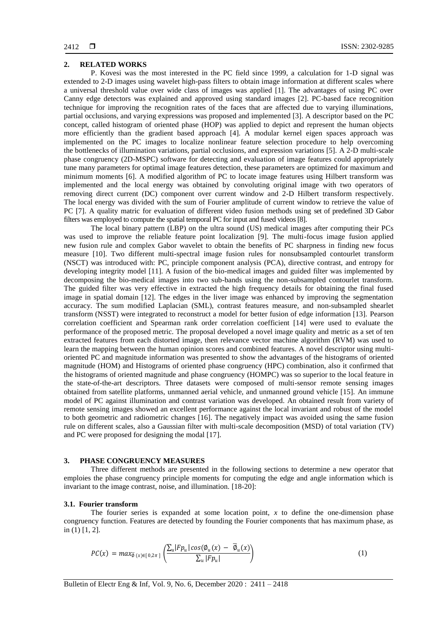#### **2. RELATED WORKS**

P. Kovesi was the most interested in the PC field since 1999, a calculation for 1-D signal was extended to 2-D images using wavelet high-pass filters to obtain image information at different scales where a universal threshold value over wide class of images was applied [1]. The advantages of using PC over Canny edge detectors was explained and approved using standard images [2]. PC-based face recognition technique for improving the recognition rates of the faces that are affected due to varying illuminations, partial occlusions, and varying expressions was proposed and implemented [3]. A descriptor based on the PC concept, called histogram of oriented phase (HOP) was applied to depict and represent the human objects more efficiently than the gradient based approach [4]. A modular kernel eigen spaces approach was implemented on the PC images to localize nonlinear feature selection procedure to help overcoming the bottlenecks of illumination variations, partial occlusions, and expression variations [5]. A 2-D multi-scale phase congruency (2D-MSPC) software for detecting and evaluation of image features could appropriately tune many parameters for optimal image features detection, these parameters are optimized for maximum and minimum moments [6]. A modified algorithm of PC to locate image features using Hilbert transform was implemented and the local energy was obtained by convoluting original image with two operators of removing direct current (DC) component over current window and 2-D Hilbert transform respectively. The local energy was divided with the sum of Fourier amplitude of current window to retrieve the value of PC [7]. A quality matric for evaluation of different video fusion methods using set of predefined 3D Gabor filters was employed to compute the spatial temporal PC for input and fused videos [8].

The local binary pattern (LBP) on the ultra sound (US) medical images after computing their PCs was used to improve the reliable feature point localization [9]. The multi-focus image fusion applied new fusion rule and complex Gabor wavelet to obtain the benefits of PC sharpness in finding new focus measure [10]. Two different multi-spectral image fusion rules for nonsubsampled contourlet transform (NSCT) was introduced with: PC, principle component analysis (PCA), directive contrast, and entropy for developing integrity model [11]. A fusion of the bio-medical images and guided filter was implemented by decomposing the bio-medical images into two sub-bands using the non-subsampled contourlet transform. The guided filter was very effective in extracted the high frequency details for obtaining the final fused image in spatial domain [12]. The edges in the liver image was enhanced by improving the segmentation accuracy. The sum modified Laplacian (SML), contrast features measure, and non-subsampled shearlet transform (NSST) were integrated to reconstruct a model for better fusion of edge information [13]. Pearson correlation coefficient and Spearman rank order correlation coefficient [14] were used to evaluate the performance of the proposed metric. The proposal developed a novel image quality and metric as a set of ten extracted features from each distorted image, then relevance vector machine algorithm (RVM) was used to learn the mapping between the human opinion scores and combined features. A novel descriptor using multioriented PC and magnitude information was presented to show the advantages of the histograms of oriented magnitude (HOM) and Histograms of oriented phase congruency (HPC) combination, also it confirmed that the histograms of oriented magnitude and phase congruency (HOMPC) was so superior to the local feature in the state-of-the-art descriptors. Three datasets were composed of multi-sensor remote sensing images obtained from satellite platforms, unmanned aerial vehicle, and unmanned ground vehicle [15]. An immune model of PC against illumination and contrast variation was developed. An obtained result from variety of remote sensing images showed an excellent performance against the local invariant and robust of the model to both geometric and radiometric changes [16]. The negatively impact was avoided using the same fusion rule on different scales, also a Gaussian filter with multi-scale decomposition (MSD) of total variation (TV) and PC were proposed for designing the modal [17].

#### **3. PHASE CONGRUENCY MEASURES**

Three different methods are presented in the following sections to determine a new operator that emploies the phase congruency principle moments for computing the edge and angle information which is invariant to the image contrast, noise, and illumination. [18-20]:

#### **3.1. Fourier transform**

The fourier series is expanded at some location point, *x* to define the one-dimension phase congruency function. Features are detected by founding the Fourier components that has maximum phase, as in (1) [1, 2].

$$
PC(x) = max_{\overline{\emptyset}(x) \in [0,2\pi]} \left( \frac{\sum_{u} |F p_u| \cos(\emptyset_u(x) - \overline{\emptyset}_u(x))}{\sum_{u} |F p_u|} \right) \tag{1}
$$

Bulletin of Electr Eng & Inf, Vol. 9, No. 6, December 2020 : 2411 – 2418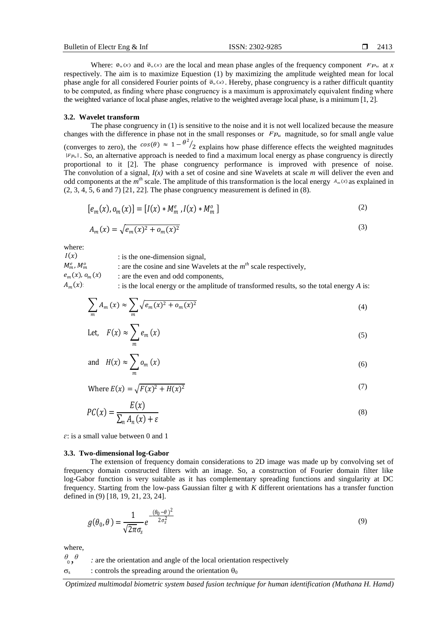Where:  $\Phi_u(x)$  and  $\overline{\Phi}_u(x)$  are the local and mean phase angles of the frequency component  $F_{u}$  at *x* respectively. The aim is to maximize Equestion (1) by maximizing the amplitude weighted mean for local phase angle for all considered Fourier points of  $\overline{\phi}_u(x)$ . Hereby, phase congruency is a rather difficult quantity to be computed, as finding where phase congruency is a maximum is approximately equivalent finding where the weighted variance of local phase angles, relative to the weighted average local phase, is a minimum [1, 2].

#### **3.2. Wavelet transform**

The phase congruency in (1) is sensitive to the noise and it is not well localized because the measure changes with the difference in phase not in the small responses or  $F_{\nu}$  magnitude, so for small angle value (converges to zero), the  $cos(\theta) \approx 1 - \frac{\theta^2}{2}$  explains how phase difference effects the weighted magnitudes  $|F_{p_u}|$ . So, an alternative approach is needed to find a maximum local energy as phase congruency is directly proportional to it [2]. The phase congruency performance is improved with presence of noise. The convolution of a signal, *I(x)* with a set of cosine and sine Wavelets at scale *m* will deliver the even and odd components at the  $m<sup>th</sup>$  scale. The amplitude of this transformation is the local energy  $A_m(x)$  as explained in (2, 3, 4, 5, 6 and 7) [21, 22]. The phase congruency measurement is defined in (8).

$$
[e_m(x), o_m(x)] = [I(x) * M_m^e, I(x) * M_m^o]
$$
 (2)

$$
A_m(x) = \sqrt{e_m(x)^2 + o_m(x)^2}
$$
 (3)

where:

: is the one-dimension signal, : are the cosine and sine Wavelets at the *m th* scale respectively, : are the even and odd components, : is the local energy or the amplitude of transformed results, so the total energy *A* is:  $I(x)$  $M_m^e$ ,  $M_m^o$  $e_{m}(x)$ ,  $o_{m}(x)$  $A_m(x)$ 

$$
\sum_{m} A_m(x) \approx \sum_{m} \sqrt{e_m(x)^2 + o_m(x)^2} \tag{4}
$$

Let, 
$$
F(x) \approx \sum_{m} e_m(x)
$$
 (5)

and 
$$
H(x) \approx \sum_{m} o_m(x)
$$
 (6)

Where 
$$
E(x) = \sqrt{F(x)^2 + H(x)^2}
$$
 (7)

$$
PC(x) = \frac{E(x)}{\sum_{n} A_n(x) + \varepsilon}
$$
\n(8)

*ɛ*: is a small value between 0 and 1

#### **3.3. Two-dimensional log-Gabor**

The extension of frequency domain considerations to 2D image was made up by convolving set of frequency domain constructed filters with an image. So, a construction of Fourier domain filter like log-Gabor function is very suitable as it has complementary spreading functions and singularity at DC frequency. Starting from the low-pass Gaussian filter g with *K* different orientations has a transfer function defined in (9) [18, 19, 21, 23, 24].

$$
g(\theta_0, \theta) = \frac{1}{\sqrt{2\pi}\sigma_s} e^{-\frac{(\theta_0 - \theta)^2}{2\sigma_s^2}}
$$
\n(9)

where,

 $\theta$ <sub>0</sub>,  $\theta$  *:* are the orientation and angle of the local orientation respectively

 $\sigma_{\rm s}$ : controls the spreading around the orientation  $\theta_0$ 

*Optimized multimodal biometric system based fusion technique for human identification (Muthana H. Hamd)*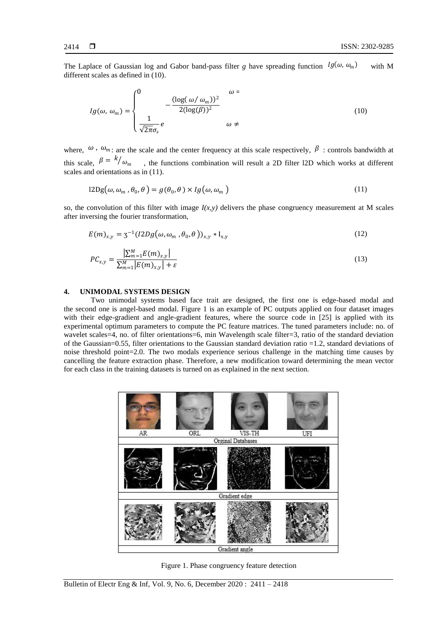The Laplace of Gaussian log and Gabor band-pass filter *g* have spreading function  $lg(\omega, \omega_m)$  with M different scales as defined in (10).

$$
Ig(\omega, \omega_m) = \begin{cases} 0 & \omega = 0\\ -\frac{(\log(\omega/\omega_m))^2}{2(\log(\beta))^2} & \omega = 0\\ \frac{1}{\sqrt{2\pi}\sigma_s}e & \omega \neq 0 \end{cases} \tag{10}
$$

where,  $\omega$ ,  $\omega_m$ : are the scale and the center frequency at this scale respectively,  $\beta$ : controls bandwidth at this scale,  $\beta = k/\omega_m$ , the functions combination will result a 2D filter 12D which works at different scales and orientations as in (11).

$$
12Dg(\omega,\omega_m,\theta_0,\theta) = g(\theta_0,\theta) \times Ig(\omega,\omega_m)
$$
\n(11)

so, the convolution of this filter with image  $I(x, y)$  delivers the phase congruency measurement at M scales after inversing the fourier transformation,

$$
E(m)_{x,y} = 3^{-1} (I2Dg(\omega, \omega_m, \theta_0, \theta))_{x,y} * I_{x,y}
$$
\n
$$
(12)
$$

$$
PC_{x,y} = \frac{\left| \sum_{m=1}^{M} E(m)_{x,y} \right|}{\sum_{m=1}^{M} \left| E(m)_{x,y} \right| + \varepsilon} \tag{13}
$$

### **4. UNIMODAL SYSTEMS DESIGN**

Two unimodal systems based face trait are designed, the first one is edge-based modal and the second one is angel-based modal. Figure 1 is an example of PC outputs applied on four dataset images with their edge-gradient and angle-gradient features, where the source code in [25] is applied with its experimental optimum parameters to compute the PC feature matrices. The tuned parameters include: no. of wavelet scales=4, no. of filter orientations=6, min Wavelength scale filter=3, ratio of the standard deviation of the Gaussian=0.55, filter orientations to the Gaussian standard deviation ratio =1.2, standard deviations of noise threshold point=2.0. The two modals experience serious challenge in the matching time causes by cancelling the feature extraction phase. Therefore, a new modification toward determining the mean vector for each class in the training datasets is turned on as explained in the next section.



Figure 1. Phase congruency feature detection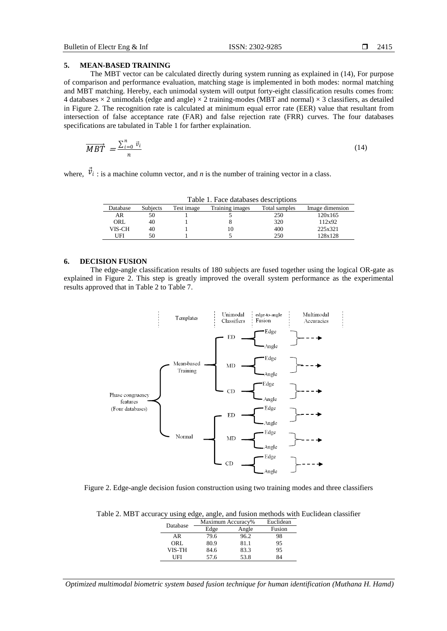## **5. MEAN-BASED TRAINING**

The MBT vector can be calculated directly during system running as explained in (14), For purpose of comparison and performance evaluation, matching stage is implemented in both modes: normal matching and MBT matching. Hereby, each unimodal system will output forty-eight classification results comes from: 4 databases  $\times$  2 unimodals (edge and angle)  $\times$  2 training-modes (MBT and normal)  $\times$  3 classifiers, as detailed in Figure 2. The recognition rate is calculated at minimum equal error rate (EER) value that resultant from intersection of false acceptance rate (FAR) and false rejection rate (FRR) curves. The four databases specifications are tabulated in Table 1 for farther explaination.

$$
\overrightarrow{MBT} = \frac{\sum_{i=0}^{n} \vec{v}_i}{n}
$$
\n(14)

where,  $\dot{v}_i$ : is a machine column vector, and *n* is the number of training vector in a class.

| Table 1. Face databases describitoris |          |            |                 |               |                 |  |
|---------------------------------------|----------|------------|-----------------|---------------|-----------------|--|
| Database                              | Subiects | Test image | Training images | Total samples | Image dimension |  |
| AR                                    | 50       |            |                 | 250           | 120x165         |  |
| ORL                                   | 40       |            |                 | 320           | 112x92          |  |
| VIS-CH                                | 40       |            |                 | 400           | 225x321         |  |
| UFI                                   | 50       |            |                 | 250           | 128x128         |  |

Table 1. Face databases descriptions

### **6. DECISION FUSION**

The edge-angle classification results of 180 subjects are fused together using the logical OR-gate as explained in Figure 2. This step is greatly improved the overall system performance as the experimental results approved that in Table 2 to Table 7.



Figure 2. Edge-angle decision fusion construction using two training modes and three classifiers

| Table 2. MBT accuracy using edge, angle, and fusion methods with Euclidean classifier |  |  |  |  |  |  |
|---------------------------------------------------------------------------------------|--|--|--|--|--|--|
|                                                                                       |  |  |  |  |  |  |

|  | Database | Maximum Accuracy% |       | Euclidean |
|--|----------|-------------------|-------|-----------|
|  |          | Edge              | Angle | Fusion    |
|  | AR       | 79.6              | 96.2  | 98        |
|  | ORL      | 80.9              | 81.1  | 95        |
|  | VIS-TH   | 84.6              | 83.3  | 95        |
|  | TEI      | 57.6              | 53.8  |           |

*Optimized multimodal biometric system based fusion technique for human identification (Muthana H. Hamd)*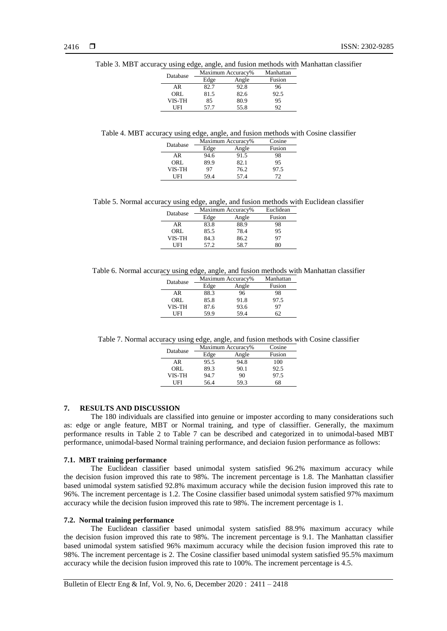| Database | Maximum Accuracy% | Manhattan |        |
|----------|-------------------|-----------|--------|
|          | Edge              | Angle     | Fusion |
| AR       | 82.7              | 92.8      | 96     |
| ORL      | 81.5              | 82.6      | 92.5   |
| VIS-TH   | 85                | 80.9      | 95     |
| I IFI    | 57.7              | 55.8      | 92     |

Table 3. MBT accuracy using edge, angle, and fusion methods with Manhattan classifier

Table 4. MBT accuracy using edge, angle, and fusion methods with Cosine classifier

| Database | Maximum Accuracy% | Cosine |        |
|----------|-------------------|--------|--------|
|          | Edge              | Angle  | Fusion |
| AR       | 94.6              | 91.5   | 98     |
| ORL      | 89.9              | 82.1   | 95     |
| VIS-TH   | 97                | 76.2   | 97.5   |
| I IFI    | 59.4              | 57.4   | 72     |

Table 5. Normal accuracy using edge, angle, and fusion methods with Euclidean classifier

| Database | Maximum Accuracy% | Euclidean |        |
|----------|-------------------|-----------|--------|
|          | Edge              | Angle     | Fusion |
| AR       | 83.8              | 88.9      | 98     |
| ORL      | 85.5              | 78.4      | 95     |
| VIS-TH   | 84.3              | 86.2      | 97     |
| I IFI    | 57.2              | 58.7      | 80     |

Table 6. Normal accuracy using edge, angle, and fusion methods with Manhattan classifier

| Database | Maximum Accuracy% | Manhattan |        |
|----------|-------------------|-----------|--------|
|          | Edge              | Angle     | Fusion |
| AR       | 88.3              | 96        | 98     |
| ORL      | 85.8              | 91.8      | 97.5   |
| VIS-TH   | 87.6              | 93.6      | 97     |
| UFI      | 59.9              | 59.4      |        |
|          |                   |           |        |

Table 7. Normal accuracy using edge, angle, and fusion methods with Cosine classifier

| Database |      | Maximum Accuracy% | Cosine |
|----------|------|-------------------|--------|
|          | Edge | Angle             | Fusion |
| AR       | 95.5 | 94.8              | 100    |
| ORL      | 89.3 | 90.1              | 92.5   |
| VIS-TH   | 94.7 | 90                | 97.5   |
| I IFI    | 56.4 | 59.3              | 68     |

### **7. RESULTS AND DISCUSSION**

The 180 individuals are classified into genuine or imposter according to many considerations such as: edge or angle feature, MBT or Normal training, and type of classiffier. Generally, the maximum performance results in Table 2 to Table 7 can be described and categorized in to unimodal-based MBT performance, unimodal-based Normal training performance, and deciaion fusion performance as follows:

#### **7.1. MBT training performance**

The Euclidean classifier based unimodal system satisfied 96.2% maximum accuracy while the decision fusion improved this rate to 98%. The increment percentage is 1.8. The Manhattan classifier based unimodal system satisfied 92.8% maximum accuracy while the decision fusion improved this rate to 96%. The increment percentage is 1.2. The Cosine classifier based unimodal system satisfied 97% maximum accuracy while the decision fusion improved this rate to 98%. The increment percentage is 1.

### **7.2. Normal training performance**

The Euclidean classifier based unimodal system satisfied 88.9% maximum accuracy while the decision fusion improved this rate to 98%. The increment percentage is 9.1. The Manhattan classifier based unimodal system satisfied 96% maximum accuracy while the decision fusion improved this rate to 98%. The increment percentage is 2. The Cosine classifier based unimodal system satisfied 95.5% maximum accuracy while the decision fusion improved this rate to 100%. The increment percentage is 4.5.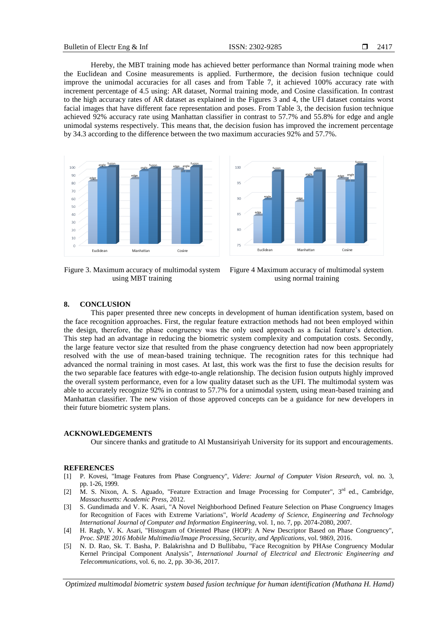Hereby, the MBT training mode has achieved better performance than Normal training mode when the Euclidean and Cosine measurements is applied. Furthermore, the decision fusion technique could improve the unimodal accuracies for all cases and from Table 7, it achieved 100% accuracy rate with increment percentage of 4.5 using: AR dataset, Normal training mode, and Cosine classification. In contrast to the high accuracy rates of AR dataset as explained in the Figures 3 and 4, the UFI dataset contains worst facial images that have different face representation and poses. From Table 3, the decision fusion technique achieved 92% accuracy rate using Manhattan classifier in contrast to 57.7% and 55.8% for edge and angle unimodal systems respectively. This means that, the decision fusion has improved the increment percentage by 34.3 according to the difference between the two maximum accuracies 92% and 57.7%.



Figure 3. Maximum accuracy of multimodal system using MBT training



Figure 4 Maximum accuracy of multimodal system using normal training

#### **8. CONCLUSION**

This paper presented three new concepts in development of human identification system, based on the face recognition approaches. First, the regular feature extraction methods had not been employed within the design, therefore, the phase congruency was the only used approach as a facial feature's detection. This step had an advantage in reducing the biometric system complexity and computation costs. Secondly, the large feature vector size that resulted from the phase congruency detection had now been appropriately resolved with the use of mean-based training technique. The recognition rates for this technique had advanced the normal training in most cases. At last, this work was the first to fuse the decision results for the two separable face features with edge-to-angle relationship. The decision fusion outputs highly improved the overall system performance, even for a low quality dataset such as the UFI. The multimodal system was able to accurately recognize 92% in contrast to 57.7% for a unimodal system, using mean-based training and Manhattan classifier. The new vision of those approved concepts can be a guidance for new developers in their future biometric system plans.

#### **ACKNOWLEDGEMENTS**

Our sincere thanks and gratitude to Al Mustansiriyah University for its support and encouragements.

#### **REFERENCES**

- [1] P. Kovesi, "Image Features from Phase Congruency", *Videre: Journal of Computer Vision Research*, vol. no. 3, pp. 1-26, 1999.
- [2] M. S. Nixon, A. S. Aguado, "Feature Extraction and Image Processing for Computer", 3<sup>rd</sup> ed., Cambridge, *Massachusetts: Academic Press*, 2012.
- [3] S. Gundimada and V. K. Asari, "A Novel Neighborhood Defined Feature Selection on Phase Congruency Images for Recognition of Faces with Extreme Variations", *World Academy of Science, Engineering and Technology International Journal of Computer and Information Engineering*, vol. 1, no. 7, pp. 2074-2080, 2007.
- [4] H. Ragb, V. K. Asari, "Histogram of Oriented Phase (HOP): A New Descriptor Based on Phase Congruency", *Proc. SPIE 2016 Mobile Multimedia/Image Processing, Security, and Applications*, vol. 9869, 2016.
- [5] N. D. Rao, Sk. T. Basha, P. Balakrishna and D Bullibabu, "Face Recognition by PHAse Congruency Modular Kernel Principal Component Analysis", *International Journal of Electrical and Electronic Engineering and Telecommunications*, vol. 6, no. 2, pp. 30-36, 2017.

*Optimized multimodal biometric system based fusion technique for human identification (Muthana H. Hamd)*